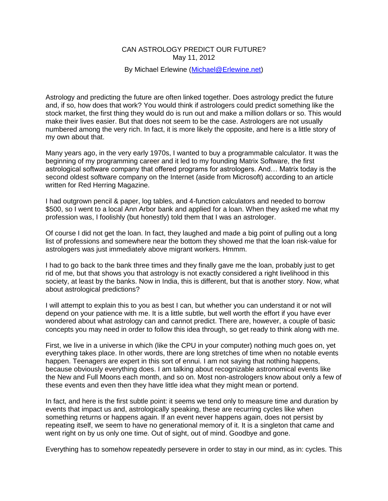## CAN ASTROLOGY PREDICT OUR FUTURE? May 11, 2012

## By Michael Erlewine [\(Michael@Erlewine.net\)](mailto:Michael@Erlewine.net)

Astrology and predicting the future are often linked together. Does astrology predict the future and, if so, how does that work? You would think if astrologers could predict something like the stock market, the first thing they would do is run out and make a million dollars or so. This would make their lives easier. But that does not seem to be the case. Astrologers are not usually numbered among the very rich. In fact, it is more likely the opposite, and here is a little story of my own about that.

Many years ago, in the very early 1970s, I wanted to buy a programmable calculator. It was the beginning of my programming career and it led to my founding Matrix Software, the first astrological software company that offered programs for astrologers. And… Matrix today is the second oldest software company on the Internet (aside from Microsoft) according to an article written for Red Herring Magazine.

I had outgrown pencil & paper, log tables, and 4-function calculators and needed to borrow \$500, so I went to a local Ann Arbor bank and applied for a loan. When they asked me what my profession was, I foolishly (but honestly) told them that I was an astrologer.

Of course I did not get the loan. In fact, they laughed and made a big point of pulling out a long list of professions and somewhere near the bottom they showed me that the loan risk-value for astrologers was just immediately above migrant workers. Hmmm.

I had to go back to the bank three times and they finally gave me the loan, probably just to get rid of me, but that shows you that astrology is not exactly considered a right livelihood in this society, at least by the banks. Now in India, this is different, but that is another story. Now, what about astrological predictions?

I will attempt to explain this to you as best I can, but whether you can understand it or not will depend on your patience with me. It is a little subtle, but well worth the effort if you have ever wondered about what astrology can and cannot predict. There are, however, a couple of basic concepts you may need in order to follow this idea through, so get ready to think along with me.

First, we live in a universe in which (like the CPU in your computer) nothing much goes on, yet everything takes place. In other words, there are long stretches of time when no notable events happen. Teenagers are expert in this sort of ennui. I am not saying that nothing happens, because obviously everything does. I am talking about recognizable astronomical events like the New and Full Moons each month, and so on. Most non-astrologers know about only a few of these events and even then they have little idea what they might mean or portend.

In fact, and here is the first subtle point: it seems we tend only to measure time and duration by events that impact us and, astrologically speaking, these are recurring cycles like when something returns or happens again. If an event never happens again, does not persist by repeating itself, we seem to have no generational memory of it. It is a singleton that came and went right on by us only one time. Out of sight, out of mind. Goodbye and gone.

Everything has to somehow repeatedly persevere in order to stay in our mind, as in: cycles. This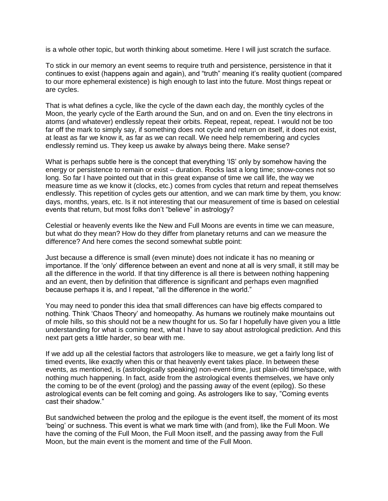is a whole other topic, but worth thinking about sometime. Here I will just scratch the surface.

To stick in our memory an event seems to require truth and persistence, persistence in that it continues to exist (happens again and again), and "truth" meaning it's reality quotient (compared to our more ephemeral existence) is high enough to last into the future. Most things repeat or are cycles.

That is what defines a cycle, like the cycle of the dawn each day, the monthly cycles of the Moon, the yearly cycle of the Earth around the Sun, and on and on. Even the tiny electrons in atoms (and whatever) endlessly repeat their orbits. Repeat, repeat, repeat. I would not be too far off the mark to simply say, if something does not cycle and return on itself, it does not exist, at least as far we know it, as far as we can recall. We need help remembering and cycles endlessly remind us. They keep us awake by always being there. Make sense?

What is perhaps subtle here is the concept that everything 'IS' only by somehow having the energy or persistence to remain or exist – duration. Rocks last a long time; snow-cones not so long. So far I have pointed out that in this great expanse of time we call life, the way we measure time as we know it (clocks, etc.) comes from cycles that return and repeat themselves endlessly. This repetition of cycles gets our attention, and we can mark time by them, you know: days, months, years, etc. Is it not interesting that our measurement of time is based on celestial events that return, but most folks don't "believe" in astrology?

Celestial or heavenly events like the New and Full Moons are events in time we can measure, but what do they mean? How do they differ from planetary returns and can we measure the difference? And here comes the second somewhat subtle point:

Just because a difference is small (even minute) does not indicate it has no meaning or importance. If the 'only' difference between an event and none at all is very small, it still may be all the difference in the world. If that tiny difference is all there is between nothing happening and an event, then by definition that difference is significant and perhaps even magnified because perhaps it is, and I repeat, "all the difference in the world."

You may need to ponder this idea that small differences can have big effects compared to nothing. Think 'Chaos Theory' and homeopathy. As humans we routinely make mountains out of mole hills, so this should not be a new thought for us. So far I hopefully have given you a little understanding for what is coming next, what I have to say about astrological prediction. And this next part gets a little harder, so bear with me.

If we add up all the celestial factors that astrologers like to measure, we get a fairly long list of timed events, like exactly when this or that heavenly event takes place. In between these events, as mentioned, is (astrologically speaking) non-event-time, just plain-old time/space, with nothing much happening. In fact, aside from the astrological events themselves, we have only the coming to be of the event (prolog) and the passing away of the event (epilog). So these astrological events can be felt coming and going. As astrologers like to say, "Coming events cast their shadow."

But sandwiched between the prolog and the epilogue is the event itself, the moment of its most 'being' or suchness. This event is what we mark time with (and from), like the Full Moon. We have the coming of the Full Moon, the Full Moon itself, and the passing away from the Full Moon, but the main event is the moment and time of the Full Moon.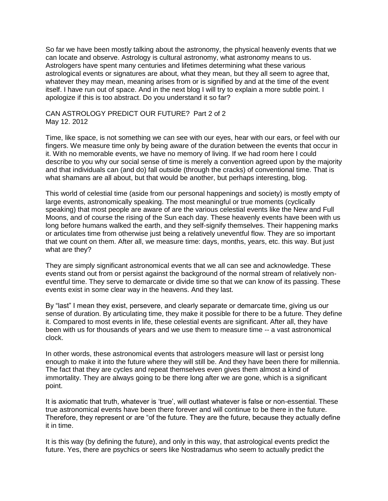So far we have been mostly talking about the astronomy, the physical heavenly events that we can locate and observe. Astrology is cultural astronomy, what astronomy means to us. Astrologers have spent many centuries and lifetimes determining what these various astrological events or signatures are about, what they mean, but they all seem to agree that, whatever they may mean, meaning arises from or is signified by and at the time of the event itself. I have run out of space. And in the next blog I will try to explain a more subtle point. I apologize if this is too abstract. Do you understand it so far?

## CAN ASTROLOGY PREDICT OUR FUTURE? Part 2 of 2 May 12. 2012

Time, like space, is not something we can see with our eyes, hear with our ears, or feel with our fingers. We measure time only by being aware of the duration between the events that occur in it. With no memorable events, we have no memory of living. If we had room here I could describe to you why our social sense of time is merely a convention agreed upon by the majority and that individuals can (and do) fall outside (through the cracks) of conventional time. That is what shamans are all about, but that would be another, but perhaps interesting, blog.

This world of celestial time (aside from our personal happenings and society) is mostly empty of large events, astronomically speaking. The most meaningful or true moments (cyclically speaking) that most people are aware of are the various celestial events like the New and Full Moons, and of course the rising of the Sun each day. These heavenly events have been with us long before humans walked the earth, and they self-signify themselves. Their happening marks or articulates time from otherwise just being a relatively uneventful flow. They are so important that we count on them. After all, we measure time: days, months, years, etc. this way. But just what are they?

They are simply significant astronomical events that we all can see and acknowledge. These events stand out from or persist against the background of the normal stream of relatively noneventful time. They serve to demarcate or divide time so that we can know of its passing. These events exist in some clear way in the heavens. And they last.

By "last" I mean they exist, persevere, and clearly separate or demarcate time, giving us our sense of duration. By articulating time, they make it possible for there to be a future. They define it. Compared to most events in life, these celestial events are significant. After all, they have been with us for thousands of years and we use them to measure time -- a vast astronomical clock.

In other words, these astronomical events that astrologers measure will last or persist long enough to make it into the future where they will still be. And they have been there for millennia. The fact that they are cycles and repeat themselves even gives them almost a kind of immortality. They are always going to be there long after we are gone, which is a significant point.

It is axiomatic that truth, whatever is 'true', will outlast whatever is false or non-essential. These true astronomical events have been there forever and will continue to be there in the future. Therefore, they represent or are "of the future. They are the future, because they actually define it in time.

It is this way (by defining the future), and only in this way, that astrological events predict the future. Yes, there are psychics or seers like Nostradamus who seem to actually predict the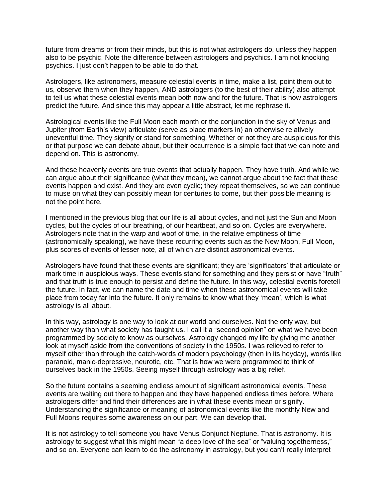future from dreams or from their minds, but this is not what astrologers do, unless they happen also to be psychic. Note the difference between astrologers and psychics. I am not knocking psychics. I just don't happen to be able to do that.

Astrologers, like astronomers, measure celestial events in time, make a list, point them out to us, observe them when they happen, AND astrologers (to the best of their ability) also attempt to tell us what these celestial events mean both now and for the future. That is how astrologers predict the future. And since this may appear a little abstract, let me rephrase it.

Astrological events like the Full Moon each month or the conjunction in the sky of Venus and Jupiter (from Earth's view) articulate (serve as place markers in) an otherwise relatively uneventful time. They signify or stand for something. Whether or not they are auspicious for this or that purpose we can debate about, but their occurrence is a simple fact that we can note and depend on. This is astronomy.

And these heavenly events are true events that actually happen. They have truth. And while we can argue about their significance (what they mean), we cannot argue about the fact that these events happen and exist. And they are even cyclic; they repeat themselves, so we can continue to muse on what they can possibly mean for centuries to come, but their possible meaning is not the point here.

I mentioned in the previous blog that our life is all about cycles, and not just the Sun and Moon cycles, but the cycles of our breathing, of our heartbeat, and so on. Cycles are everywhere. Astrologers note that in the warp and woof of time, in the relative emptiness of time (astronomically speaking), we have these recurring events such as the New Moon, Full Moon, plus scores of events of lesser note, all of which are distinct astronomical events.

Astrologers have found that these events are significant; they are 'significators' that articulate or mark time in auspicious ways. These events stand for something and they persist or have "truth" and that truth is true enough to persist and define the future. In this way, celestial events foretell the future. In fact, we can name the date and time when these astronomical events will take place from today far into the future. It only remains to know what they 'mean', which is what astrology is all about.

In this way, astrology is one way to look at our world and ourselves. Not the only way, but another way than what society has taught us. I call it a "second opinion" on what we have been programmed by society to know as ourselves. Astrology changed my life by giving me another look at myself aside from the conventions of society in the 1950s. I was relieved to refer to myself other than through the catch-words of modern psychology (then in its heyday), words like paranoid, manic-depressive, neurotic, etc. That is how we were programmed to think of ourselves back in the 1950s. Seeing myself through astrology was a big relief.

So the future contains a seeming endless amount of significant astronomical events. These events are waiting out there to happen and they have happened endless times before. Where astrologers differ and find their differences are in what these events mean or signify. Understanding the significance or meaning of astronomical events like the monthly New and Full Moons requires some awareness on our part. We can develop that.

It is not astrology to tell someone you have Venus Conjunct Neptune. That is astronomy. It is astrology to suggest what this might mean "a deep love of the sea" or "valuing togetherness," and so on. Everyone can learn to do the astronomy in astrology, but you can't really interpret